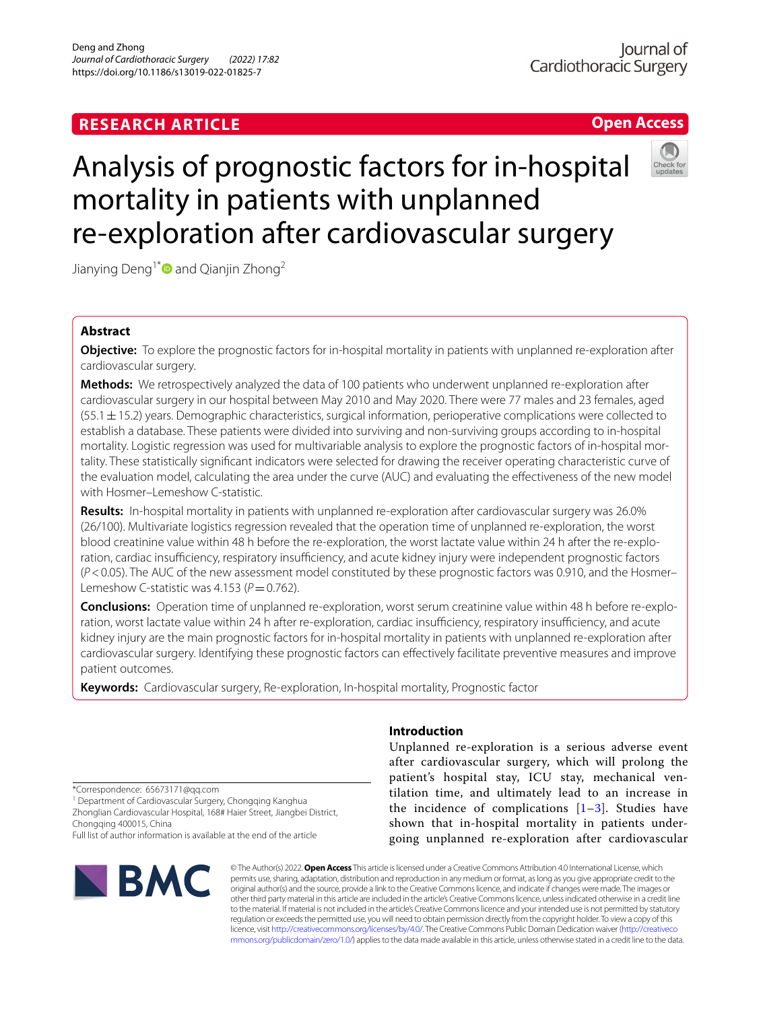# **RESEARCH ARTICLE**

# **Open Access**

# Analysis of prognostic factors for in-hospital mortality in patients with unplanned re-exploration after cardiovascular surgery

Jianying Deng<sup>1[\\*](http://orcid.org/0000-0001-5013-4195)</sup> and Qianjin Zhong<sup>2</sup>

## **Abstract**

**Objective:** To explore the prognostic factors for in-hospital mortality in patients with unplanned re-exploration after cardiovascular surgery.

**Methods:** We retrospectively analyzed the data of 100 patients who underwent unplanned re-exploration after cardiovascular surgery in our hospital between May 2010 and May 2020. There were 77 males and 23 females, aged  $(55.1 \pm 15.2)$  years. Demographic characteristics, surgical information, perioperative complications were collected to establish a database. These patients were divided into surviving and non-surviving groups according to in-hospital mortality. Logistic regression was used for multivariable analysis to explore the prognostic factors of in-hospital mortality. These statistically signifcant indicators were selected for drawing the receiver operating characteristic curve of the evaluation model, calculating the area under the curve (AUC) and evaluating the efectiveness of the new model with Hosmer–Lemeshow C-statistic.

**Results:** In-hospital mortality in patients with unplanned re-exploration after cardiovascular surgery was 26.0% (26/100). Multivariate logistics regression revealed that the operation time of unplanned re-exploration, the worst blood creatinine value within 48 h before the re-exploration, the worst lactate value within 24 h after the re-exploration, cardiac insufficiency, respiratory insufficiency, and acute kidney injury were independent prognostic factors (*P*<0.05). The AUC of the new assessment model constituted by these prognostic factors was 0.910, and the Hosmer– Lemeshow C-statistic was  $4.153 (P = 0.762)$ .

**Conclusions:** Operation time of unplanned re-exploration, worst serum creatinine value within 48 h before re-exploration, worst lactate value within 24 h after re-exploration, cardiac insufficiency, respiratory insufficiency, and acute kidney injury are the main prognostic factors for in-hospital mortality in patients with unplanned re-exploration after cardiovascular surgery. Identifying these prognostic factors can efectively facilitate preventive measures and improve patient outcomes.

**Keywords:** Cardiovascular surgery, Re-exploration, In-hospital mortality, Prognostic factor

### **Introduction**

Unplanned re-exploration is a serious adverse event after cardiovascular surgery, which will prolong the patient's hospital stay, ICU stay, mechanical ventilation time, and ultimately lead to an increase in the incidence of complications  $[1-3]$  $[1-3]$  $[1-3]$ . Studies have shown that in-hospital mortality in patients undergoing unplanned re-exploration after cardiovascular

\*Correspondence: 65673171@qq.com

<sup>1</sup> Department of Cardiovascular Surgery, Chongqing Kanghua Zhonglian Cardiovascular Hospital, 168# Haier Street, Jiangbei District, Chongqing 400015, China

Full list of author information is available at the end of the article



© The Author(s) 2022. **Open Access** This article is licensed under a Creative Commons Attribution 4.0 International License, which permits use, sharing, adaptation, distribution and reproduction in any medium or format, as long as you give appropriate credit to the original author(s) and the source, provide a link to the Creative Commons licence, and indicate if changes were made. The images or other third party material in this article are included in the article's Creative Commons licence, unless indicated otherwise in a credit line to the material. If material is not included in the article's Creative Commons licence and your intended use is not permitted by statutory regulation or exceeds the permitted use, you will need to obtain permission directly from the copyright holder. To view a copy of this licence, visit [http://creativecommons.org/licenses/by/4.0/.](http://creativecommons.org/licenses/by/4.0/) The Creative Commons Public Domain Dedication waiver ([http://creativeco](http://creativecommons.org/publicdomain/zero/1.0/) [mmons.org/publicdomain/zero/1.0/](http://creativecommons.org/publicdomain/zero/1.0/)) applies to the data made available in this article, unless otherwise stated in a credit line to the data.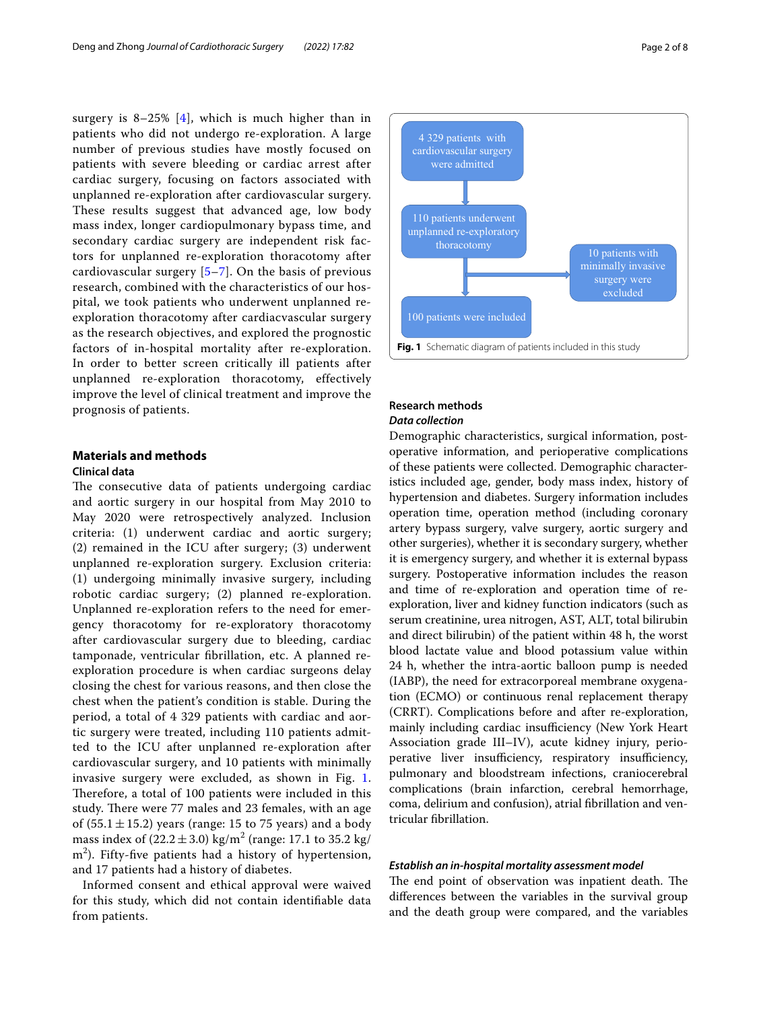surgery is  $8-25\%$  [[4\]](#page-7-2), which is much higher than in patients who did not undergo re-exploration. A large number of previous studies have mostly focused on patients with severe bleeding or cardiac arrest after cardiac surgery, focusing on factors associated with unplanned re-exploration after cardiovascular surgery. These results suggest that advanced age, low body mass index, longer cardiopulmonary bypass time, and secondary cardiac surgery are independent risk factors for unplanned re-exploration thoracotomy after cardiovascular surgery  $[5-7]$  $[5-7]$  $[5-7]$ . On the basis of previous research, combined with the characteristics of our hospital, we took patients who underwent unplanned reexploration thoracotomy after cardiacvascular surgery as the research objectives, and explored the prognostic factors of in-hospital mortality after re-exploration. In order to better screen critically ill patients after unplanned re-exploration thoracotomy, effectively improve the level of clinical treatment and improve the prognosis of patients.

#### **Materials and methods**

#### **Clinical data**

The consecutive data of patients undergoing cardiac and aortic surgery in our hospital from May 2010 to May 2020 were retrospectively analyzed. Inclusion criteria: (1) underwent cardiac and aortic surgery; (2) remained in the ICU after surgery; (3) underwent unplanned re-exploration surgery. Exclusion criteria: (1) undergoing minimally invasive surgery, including robotic cardiac surgery; (2) planned re-exploration. Unplanned re-exploration refers to the need for emergency thoracotomy for re-exploratory thoracotomy after cardiovascular surgery due to bleeding, cardiac tamponade, ventricular fbrillation, etc. A planned reexploration procedure is when cardiac surgeons delay closing the chest for various reasons, and then close the chest when the patient's condition is stable. During the period, a total of 4 329 patients with cardiac and aortic surgery were treated, including 110 patients admitted to the ICU after unplanned re-exploration after cardiovascular surgery, and 10 patients with minimally invasive surgery were excluded, as shown in Fig. [1](#page-1-0). Therefore, a total of 100 patients were included in this study. There were 77 males and 23 females, with an age of (55.1 $\pm$ 15.2) years (range: 15 to 75 years) and a body mass index of  $(22.2 \pm 3.0)$  kg/m<sup>2</sup> (range: 17.1 to 35.2 kg/ m<sup>2</sup>). Fifty-five patients had a history of hypertension, and 17 patients had a history of diabetes.

Informed consent and ethical approval were waived for this study, which did not contain identifable data from patients.



# <span id="page-1-0"></span>**Research methods**

#### *Data collection*

Demographic characteristics, surgical information, postoperative information, and perioperative complications of these patients were collected. Demographic characteristics included age, gender, body mass index, history of hypertension and diabetes. Surgery information includes operation time, operation method (including coronary artery bypass surgery, valve surgery, aortic surgery and other surgeries), whether it is secondary surgery, whether it is emergency surgery, and whether it is external bypass surgery. Postoperative information includes the reason and time of re-exploration and operation time of reexploration, liver and kidney function indicators (such as serum creatinine, urea nitrogen, AST, ALT, total bilirubin and direct bilirubin) of the patient within 48 h, the worst blood lactate value and blood potassium value within 24 h, whether the intra-aortic balloon pump is needed (IABP), the need for extracorporeal membrane oxygenation (ECMO) or continuous renal replacement therapy (CRRT). Complications before and after re-exploration, mainly including cardiac insufficiency (New York Heart Association grade III–IV), acute kidney injury, perioperative liver insufficiency, respiratory insufficiency, pulmonary and bloodstream infections, craniocerebral complications (brain infarction, cerebral hemorrhage, coma, delirium and confusion), atrial fbrillation and ventricular fbrillation.

#### *Establish an in‑hospital mortality assessment model*

The end point of observation was inpatient death. The diferences between the variables in the survival group and the death group were compared, and the variables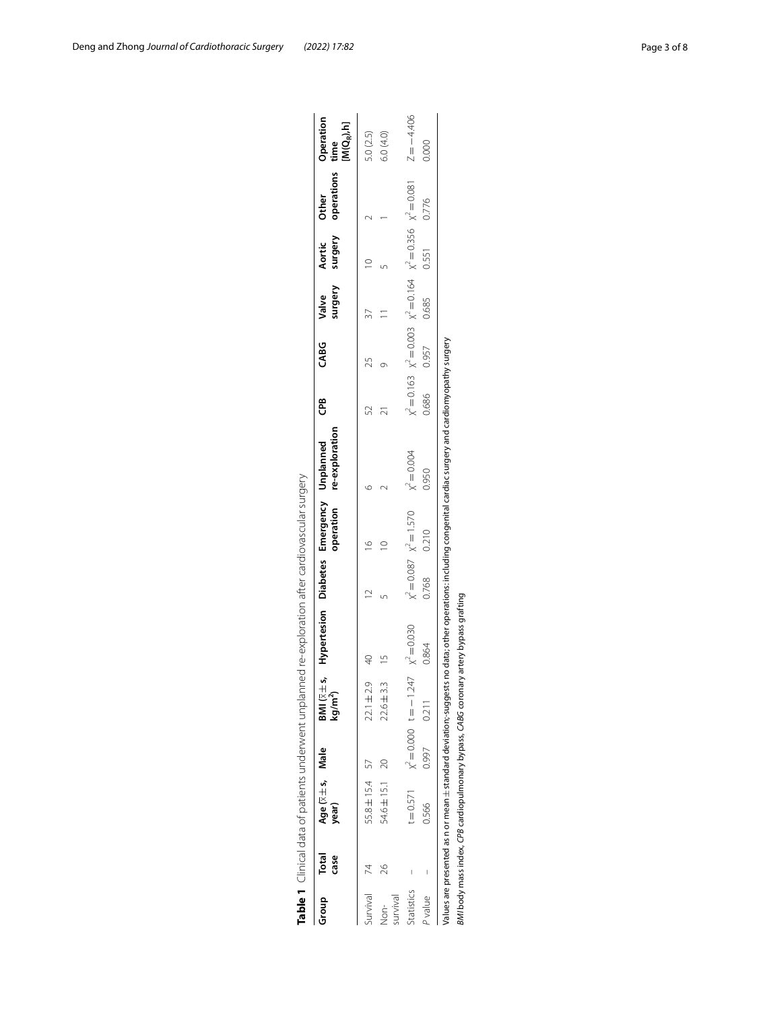<span id="page-2-0"></span>

|                      |                      |                                                                |                                           |                                                      | Table 1 Clinical data of patients underwent unplanned re-exploration after cardiovascular surgery |       |                             |                                                                                                                                                             |       |       |                  |                   |                                                                                      |                                   |
|----------------------|----------------------|----------------------------------------------------------------|-------------------------------------------|------------------------------------------------------|---------------------------------------------------------------------------------------------------|-------|-----------------------------|-------------------------------------------------------------------------------------------------------------------------------------------------------------|-------|-------|------------------|-------------------|--------------------------------------------------------------------------------------|-----------------------------------|
| Group                | Total<br><b>case</b> | Age ( $\overline{\times}$ $\pm$ s, Male<br>year)               |                                           | BMI $(\overline{\times} \pm s)$<br>kg/m <sup>2</sup> | Hypertesion Diabetes Emergency Unplanned                                                          |       |                             | operation re-exploration                                                                                                                                    | දී    | CABG  | surgery<br>Valve | surgery<br>Aortic | operations<br><b>Other</b>                                                           | Operation<br>$M(Q_R), h]$<br>time |
| Survival             |                      | 55.8 ± 15.4 57                                                 |                                           | $22.1 \pm 2.9$                                       |                                                                                                   |       |                             |                                                                                                                                                             |       | 25    |                  |                   |                                                                                      | 5.0 (2.5)                         |
| survival<br>don<br>2 | 26                   | 54.6±15.1 20                                                   |                                           | $22.6 \pm 3.3$                                       |                                                                                                   |       |                             |                                                                                                                                                             |       |       |                  |                   |                                                                                      | 6.0 (4.0)                         |
| Statistics           |                      |                                                                | $t = 0.571$ $\chi^2 = 0.000$ $t = -1.247$ |                                                      | $X^2 = 0.030$                                                                                     |       | $x^2 = 0.087$ $x^2 = 1.570$ | $x^2 = 0.004$                                                                                                                                               |       |       |                  |                   | $\chi^2 = 0.163$ $\chi^2 = 0.003$ $\chi^2 = 0.164$ $\chi^2 = 0.356$ $\chi^2 = 0.081$ | $Z = -4.406$                      |
| P value              |                      | 0.566                                                          | 0.997                                     | 0.211                                                | 0.864                                                                                             | 0.768 | 0.210                       | 0.950                                                                                                                                                       | 0.686 | 0.957 | 0.685            | 0.551             | 0.776                                                                                | 0.000                             |
|                      |                      |                                                                |                                           |                                                      |                                                                                                   |       |                             | Values are presented as n or mean ± standard deviation;-suggests no data; other operations: including congenital cardiac surgery and cardiomyopathy surgery |       |       |                  |                   |                                                                                      |                                   |
|                      |                      | BMI body mass index, CPB cardiopulmonary bypass, CABG coronary |                                           |                                                      | y artery bypass grafting                                                                          |       |                             |                                                                                                                                                             |       |       |                  |                   |                                                                                      |                                   |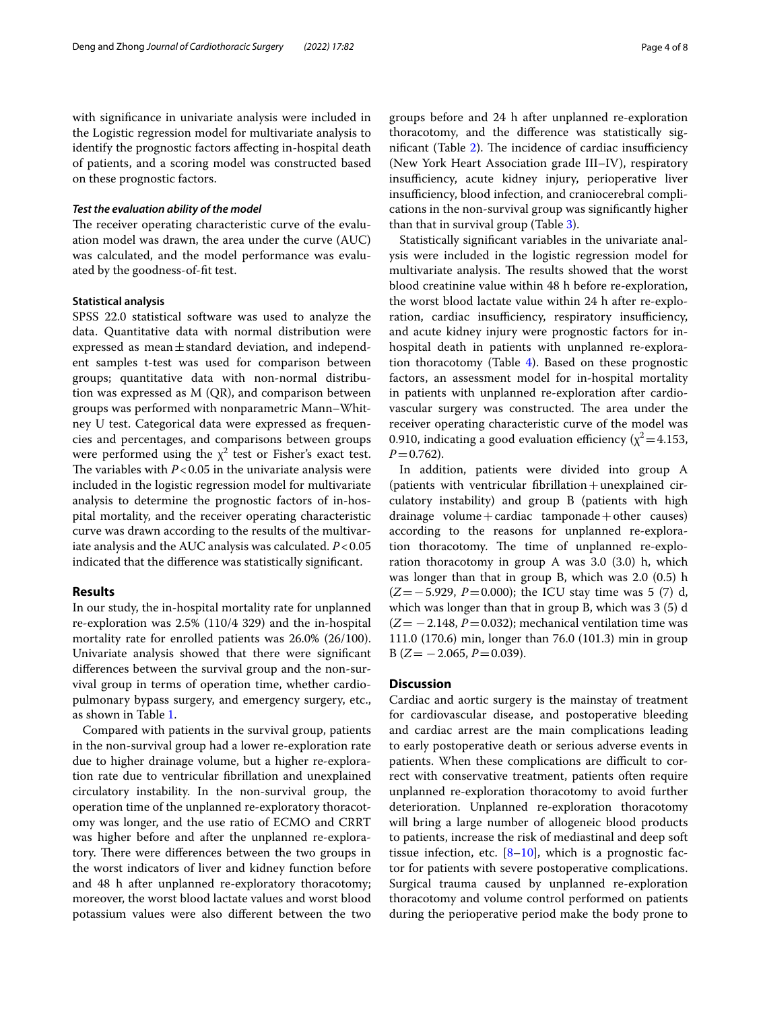with signifcance in univariate analysis were included in the Logistic regression model for multivariate analysis to identify the prognostic factors afecting in-hospital death of patients, and a scoring model was constructed based on these prognostic factors.

#### *Test the evaluation ability of the model*

The receiver operating characteristic curve of the evaluation model was drawn, the area under the curve (AUC) was calculated, and the model performance was evaluated by the goodness-of-ft test.

#### **Statistical analysis**

SPSS 22.0 statistical software was used to analyze the data. Quantitative data with normal distribution were expressed as mean $\pm$ standard deviation, and independent samples t-test was used for comparison between groups; quantitative data with non-normal distribution was expressed as M (QR), and comparison between groups was performed with nonparametric Mann–Whitney U test. Categorical data were expressed as frequencies and percentages, and comparisons between groups were performed using the  $\chi^2$  test or Fisher's exact test. The variables with  $P < 0.05$  in the univariate analysis were included in the logistic regression model for multivariate analysis to determine the prognostic factors of in-hospital mortality, and the receiver operating characteristic curve was drawn according to the results of the multivariate analysis and the AUC analysis was calculated. *P*<0.05 indicated that the diference was statistically signifcant.

#### **Results**

In our study, the in-hospital mortality rate for unplanned re-exploration was 2.5% (110/4 329) and the in-hospital mortality rate for enrolled patients was 26.0% (26/100). Univariate analysis showed that there were signifcant diferences between the survival group and the non-survival group in terms of operation time, whether cardiopulmonary bypass surgery, and emergency surgery, etc., as shown in Table [1](#page-2-0).

Compared with patients in the survival group, patients in the non-survival group had a lower re-exploration rate due to higher drainage volume, but a higher re-exploration rate due to ventricular fbrillation and unexplained circulatory instability. In the non-survival group, the operation time of the unplanned re-exploratory thoracotomy was longer, and the use ratio of ECMO and CRRT was higher before and after the unplanned re-exploratory. There were differences between the two groups in the worst indicators of liver and kidney function before and 48 h after unplanned re-exploratory thoracotomy; moreover, the worst blood lactate values and worst blood potassium values were also diferent between the two groups before and 24 h after unplanned re-exploration thoracotomy, and the diference was statistically significant (Table  $2$ ). The incidence of cardiac insufficiency (New York Heart Association grade III–IV), respiratory insufficiency, acute kidney injury, perioperative liver insufficiency, blood infection, and craniocerebral complications in the non-survival group was signifcantly higher than that in survival group (Table [3](#page-5-0)).

Statistically signifcant variables in the univariate analysis were included in the logistic regression model for multivariate analysis. The results showed that the worst blood creatinine value within 48 h before re-exploration, the worst blood lactate value within 24 h after re-exploration, cardiac insufficiency, respiratory insufficiency, and acute kidney injury were prognostic factors for inhospital death in patients with unplanned re-exploration thoracotomy (Table [4](#page-6-0)). Based on these prognostic factors, an assessment model for in-hospital mortality in patients with unplanned re-exploration after cardiovascular surgery was constructed. The area under the receiver operating characteristic curve of the model was 0.910, indicating a good evaluation efficiency ( $\chi^2$  = 4.153,  $P=0.762$ ).

In addition, patients were divided into group A (patients with ventricular fbrillation+unexplained circulatory instability) and group B (patients with high drainage volume + cardiac tamponade + other causes) according to the reasons for unplanned re-exploration thoracotomy. The time of unplanned re-exploration thoracotomy in group A was 3.0 (3.0) h, which was longer than that in group B, which was 2.0 (0.5) h (*Z*=−5.929, *P*=0.000); the ICU stay time was 5 (7) d, which was longer than that in group B, which was 3 (5) d  $(Z=-2.148, P=0.032)$ ; mechanical ventilation time was 111.0 (170.6) min, longer than 76.0 (101.3) min in group  $B(Z=-2.065, P=0.039)$ .

#### **Discussion**

Cardiac and aortic surgery is the mainstay of treatment for cardiovascular disease, and postoperative bleeding and cardiac arrest are the main complications leading to early postoperative death or serious adverse events in patients. When these complications are difficult to correct with conservative treatment, patients often require unplanned re-exploration thoracotomy to avoid further deterioration. Unplanned re-exploration thoracotomy will bring a large number of allogeneic blood products to patients, increase the risk of mediastinal and deep soft tissue infection, etc.  $[8-10]$  $[8-10]$ , which is a prognostic factor for patients with severe postoperative complications. Surgical trauma caused by unplanned re-exploration thoracotomy and volume control performed on patients during the perioperative period make the body prone to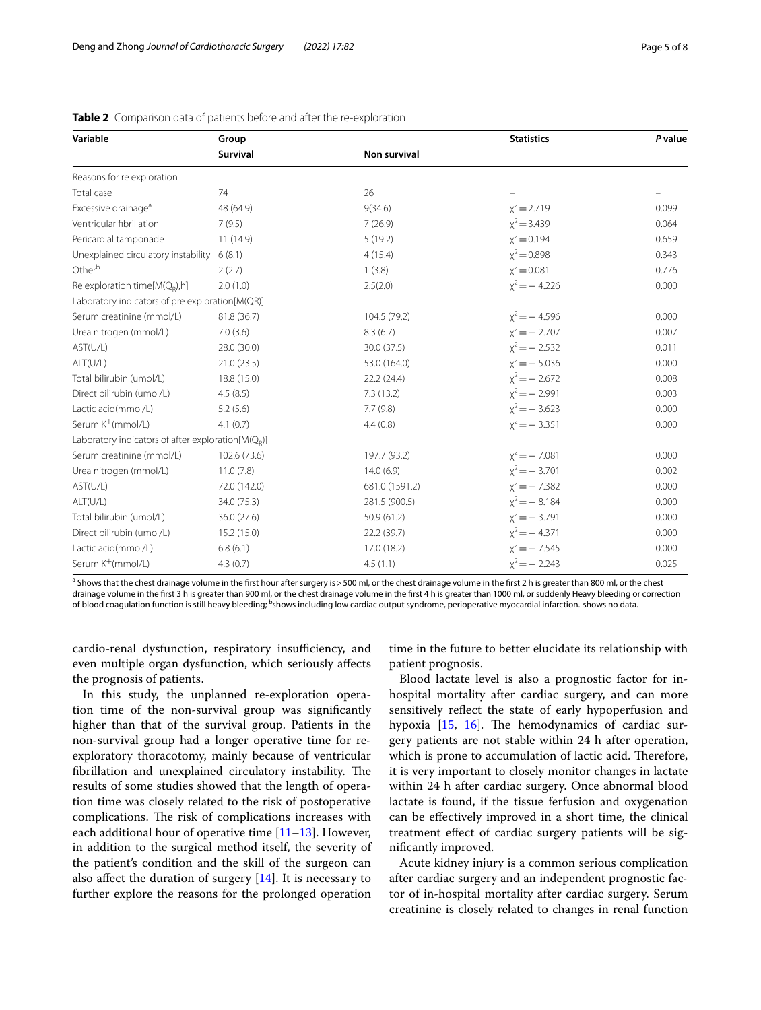| Variable                                              | Group        |                     | <b>Statistics</b> | P value |
|-------------------------------------------------------|--------------|---------------------|-------------------|---------|
|                                                       | Survival     | <b>Non survival</b> |                   |         |
| Reasons for re exploration                            |              |                     |                   |         |
| Total case                                            | 74           | 26                  |                   |         |
| Excessive drainage <sup>a</sup>                       | 48 (64.9)    | 9(34.6)             | $x^2 = 2.719$     | 0.099   |
| Ventricular fibrillation                              | 7(9.5)       | 7(26.9)             | $x^2 = 3.439$     | 0.064   |
| Pericardial tamponade                                 | 11 (14.9)    | 5(19.2)             | $x^2 = 0.194$     | 0.659   |
| Unexplained circulatory instability                   | 6(8.1)       | 4(15.4)             | $x^2 = 0.898$     | 0.343   |
| Other <sup>b</sup>                                    | 2(2.7)       | 1(3.8)              | $x^2 = 0.081$     | 0.776   |
| Re exploration time[ $M(Q_R)$ ,h]                     | 2.0(1.0)     | 2.5(2.0)            | $x^2 = -4.226$    | 0.000   |
| Laboratory indicators of pre exploration[M(QR)]       |              |                     |                   |         |
| Serum creatinine (mmol/L)                             | 81.8 (36.7)  | 104.5 (79.2)        | $x^2 = -4.596$    | 0.000   |
| Urea nitrogen (mmol/L)                                | 7.0(3.6)     | 8.3(6.7)            | $x^2 = -2.707$    | 0.007   |
| AST(U/L)                                              | 28.0 (30.0)  | 30.0 (37.5)         | $x^2 = -2.532$    | 0.011   |
| ALT(U/L)                                              | 21.0(23.5)   | 53.0 (164.0)        | $x^2 = -5.036$    | 0.000   |
| Total bilirubin (umol/L)                              | 18.8 (15.0)  | 22.2(24.4)          | $x^2 = -2.672$    | 0.008   |
| Direct bilirubin (umol/L)                             | 4.5(8.5)     | 7.3(13.2)           | $x^2 = -2.991$    | 0.003   |
| Lactic acid(mmol/L)                                   | 5.2(5.6)     | 7.7(9.8)            | $x^2 = -3.623$    | 0.000   |
| Serum K <sup>+</sup> (mmol/L)                         | 4.1(0.7)     | 4.4(0.8)            | $x^2 = -3.351$    | 0.000   |
| Laboratory indicators of after exploration $[M(Q_p)]$ |              |                     |                   |         |
| Serum creatinine (mmol/L)                             | 102.6 (73.6) | 197.7 (93.2)        | $x^2 = -7.081$    | 0.000   |
| Urea nitrogen (mmol/L)                                | 11.0(7.8)    | 14.0(6.9)           | $x^2 = -3.701$    | 0.002   |
| AST(U/L)                                              | 72.0 (142.0) | 681.0 (1591.2)      | $x^2 = -7.382$    | 0.000   |
| ALT(U/L)                                              | 34.0 (75.3)  | 281.5 (900.5)       | $x^2 = -8.184$    | 0.000   |
| Total bilirubin (umol/L)                              | 36.0 (27.6)  | 50.9(61.2)          | $x^2 = -3.791$    | 0.000   |
| Direct bilirubin (umol/L)                             | 15.2 (15.0)  | 22.2(39.7)          | $x^2 = -4.371$    | 0.000   |
| Lactic acid(mmol/L)                                   | 6.8(6.1)     | 17.0 (18.2)         | $x^2 = -7.545$    | 0.000   |
| Serum K <sup>+</sup> (mmol/L)                         | 4.3(0.7)     | 4.5(1.1)            | $x^2 = -2.243$    | 0.025   |

<span id="page-4-0"></span>

|  |  |  |  | <b>Table 2</b> Comparison data of patients before and after the re-exploration |
|--|--|--|--|--------------------------------------------------------------------------------|
|--|--|--|--|--------------------------------------------------------------------------------|

<sup>a</sup> Shows that the chest drainage volume in the first hour after surgery is > 500 ml, or the chest drainage volume in the first 2 h is greater than 800 ml, or the chest drainage volume in the frst 3 h is greater than 900 ml, or the chest drainage volume in the frst 4 h is greater than 1000 ml, or suddenly Heavy bleeding or correction of blood coagulation function is still heavy bleeding; <sup>b</sup>shows including low cardiac output syndrome, perioperative myocardial infarction.-shows no data.

cardio-renal dysfunction, respiratory insufficiency, and even multiple organ dysfunction, which seriously afects the prognosis of patients.

In this study, the unplanned re-exploration operation time of the non-survival group was signifcantly higher than that of the survival group. Patients in the non-survival group had a longer operative time for reexploratory thoracotomy, mainly because of ventricular fibrillation and unexplained circulatory instability. The results of some studies showed that the length of operation time was closely related to the risk of postoperative complications. The risk of complications increases with each additional hour of operative time  $[11-13]$  $[11-13]$  $[11-13]$ . However, in addition to the surgical method itself, the severity of the patient's condition and the skill of the surgeon can also affect the duration of surgery  $[14]$  $[14]$ . It is necessary to further explore the reasons for the prolonged operation

time in the future to better elucidate its relationship with patient prognosis.

Blood lactate level is also a prognostic factor for inhospital mortality after cardiac surgery, and can more sensitively refect the state of early hypoperfusion and hypoxia  $[15, 16]$  $[15, 16]$  $[15, 16]$  $[15, 16]$  $[15, 16]$ . The hemodynamics of cardiac surgery patients are not stable within 24 h after operation, which is prone to accumulation of lactic acid. Therefore, it is very important to closely monitor changes in lactate within 24 h after cardiac surgery. Once abnormal blood lactate is found, if the tissue ferfusion and oxygenation can be efectively improved in a short time, the clinical treatment efect of cardiac surgery patients will be signifcantly improved.

Acute kidney injury is a common serious complication after cardiac surgery and an independent prognostic factor of in-hospital mortality after cardiac surgery. Serum creatinine is closely related to changes in renal function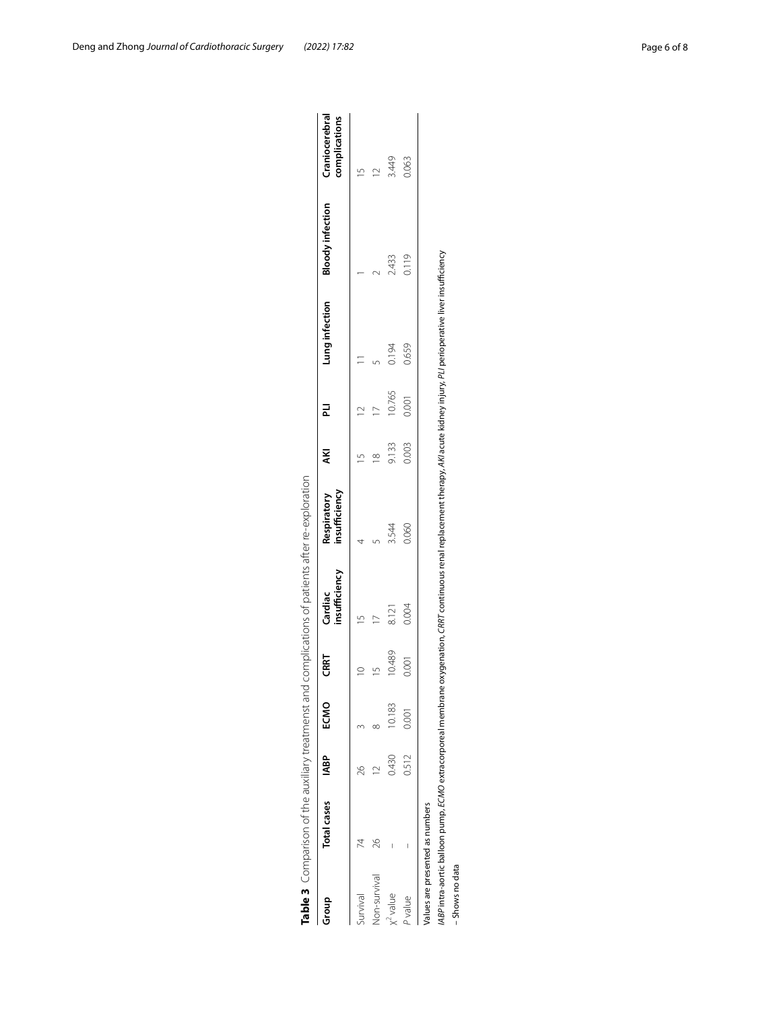|                                 |                    |             |        |             | Table 3 Comparison of the auxiliary treatmenst and complications of patients after re-exploration |                              |       |        |                                                                                                                                                                                     |                         |                                 |
|---------------------------------|--------------------|-------------|--------|-------------|---------------------------------------------------------------------------------------------------|------------------------------|-------|--------|-------------------------------------------------------------------------------------------------------------------------------------------------------------------------------------|-------------------------|---------------------------------|
| Group                           | <b>Total cases</b> | <b>IABP</b> | ECMO   | CRRT        | insufficiency<br>Cardiac                                                                          | Respiratory<br>insufficiency | ΚŃ    | 귿      | Lung infection                                                                                                                                                                      | <b>Bloody infection</b> | Craniocerebral<br>complications |
| Survival                        |                    | 26          |        | $\supseteq$ |                                                                                                   |                              |       |        |                                                                                                                                                                                     |                         |                                 |
| Non-survival                    | 26                 |             |        |             |                                                                                                   |                              |       |        |                                                                                                                                                                                     |                         |                                 |
| $x^2$ value                     |                    | 0.430       | 10.183 | 10.489      | 8.121                                                                                             | 3.544                        | 9.133 | 10.765 | 0.194                                                                                                                                                                               | 2.433                   | 3.449                           |
| P value                         |                    | 0.512       | 0.001  | 0.001       | 0.004                                                                                             | 0.060                        | 0.003 | 0.001  | 0.659                                                                                                                                                                               | 0.119                   | 0.063                           |
| Values are presented as numbers |                    |             |        |             |                                                                                                   |                              |       |        | /ABP intra-aortic balloon pump, ECMO extracorporeal membrane oxygenation, CRRT continuous renal replacement therapy, AKI acute kidney injury, PLI perioperative liver insufficiency |                         |                                 |
| – Shows no data                 |                    |             |        |             |                                                                                                   |                              |       |        |                                                                                                                                                                                     |                         |                                 |

Table 3 Comparison of the auxiliary treatmenst and complications of patients after re-exploration

<span id="page-5-0"></span>- Shows no data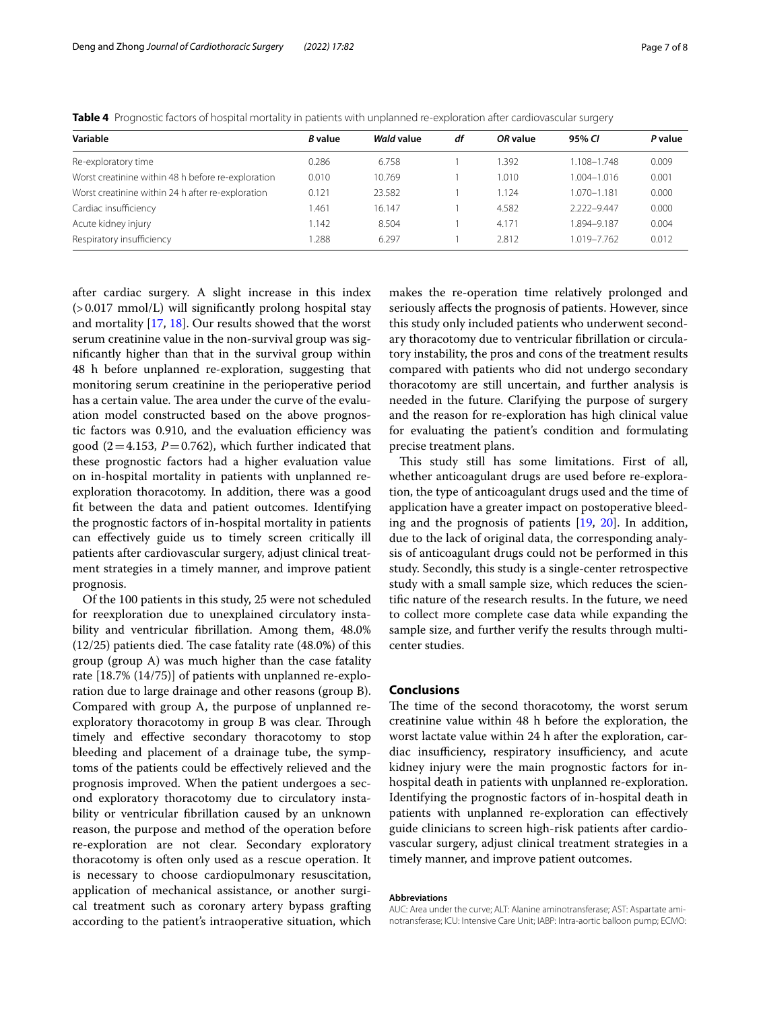| Variable                                           | <b>B</b> value | Wald value | df | OR value | 95% CI          | P value |
|----------------------------------------------------|----------------|------------|----|----------|-----------------|---------|
| Re-exploratory time                                | 0.286          | 6.758      |    | 1.392    | 1.108-1.748     | 0.009   |
| Worst creatinine within 48 h before re-exploration | 0.010          | 10.769     |    | 1.010    | $1.004 - 1.016$ | 0.001   |
| Worst creatinine within 24 h after re-exploration  | 0.121          | 23.582     |    | 1.124    | 1.070–1.181     | 0.000   |
| Cardiac insufficiency                              | 1.461          | 16.147     |    | 4.582    | 2.222-9.447     | 0.000   |
| Acute kidney injury                                | 1.142          | 8.504      |    | 4.171    | 1.894-9.187     | 0.004   |
| Respiratory insufficiency                          | .288           | 6.297      |    | 2.812    | 1.019-7.762     | 0.012   |

<span id="page-6-0"></span>**Table 4** Prognostic factors of hospital mortality in patients with unplanned re-exploration after cardiovascular surgery

after cardiac surgery. A slight increase in this index (>0.017 mmol/L) will signifcantly prolong hospital stay and mortality [\[17,](#page-7-12) [18\]](#page-7-13). Our results showed that the worst serum creatinine value in the non-survival group was signifcantly higher than that in the survival group within 48 h before unplanned re-exploration, suggesting that monitoring serum creatinine in the perioperative period has a certain value. The area under the curve of the evaluation model constructed based on the above prognostic factors was 0.910, and the evaluation efficiency was good  $(2=4.153, P=0.762)$ , which further indicated that these prognostic factors had a higher evaluation value on in-hospital mortality in patients with unplanned reexploration thoracotomy. In addition, there was a good ft between the data and patient outcomes. Identifying the prognostic factors of in-hospital mortality in patients can efectively guide us to timely screen critically ill patients after cardiovascular surgery, adjust clinical treatment strategies in a timely manner, and improve patient prognosis.

Of the 100 patients in this study, 25 were not scheduled for reexploration due to unexplained circulatory instability and ventricular fbrillation. Among them, 48.0%  $(12/25)$  patients died. The case fatality rate  $(48.0%)$  of this group (group A) was much higher than the case fatality rate [18.7% (14/75)] of patients with unplanned re-exploration due to large drainage and other reasons (group B). Compared with group A, the purpose of unplanned reexploratory thoracotomy in group B was clear. Through timely and efective secondary thoracotomy to stop bleeding and placement of a drainage tube, the symptoms of the patients could be efectively relieved and the prognosis improved. When the patient undergoes a second exploratory thoracotomy due to circulatory instability or ventricular fbrillation caused by an unknown reason, the purpose and method of the operation before re-exploration are not clear. Secondary exploratory thoracotomy is often only used as a rescue operation. It is necessary to choose cardiopulmonary resuscitation, application of mechanical assistance, or another surgical treatment such as coronary artery bypass grafting according to the patient's intraoperative situation, which makes the re-operation time relatively prolonged and seriously afects the prognosis of patients. However, since this study only included patients who underwent secondary thoracotomy due to ventricular fbrillation or circulatory instability, the pros and cons of the treatment results compared with patients who did not undergo secondary thoracotomy are still uncertain, and further analysis is needed in the future. Clarifying the purpose of surgery and the reason for re-exploration has high clinical value for evaluating the patient's condition and formulating precise treatment plans.

This study still has some limitations. First of all, whether anticoagulant drugs are used before re-exploration, the type of anticoagulant drugs used and the time of application have a greater impact on postoperative bleeding and the prognosis of patients [[19,](#page-7-14) [20\]](#page-7-15). In addition, due to the lack of original data, the corresponding analysis of anticoagulant drugs could not be performed in this study. Secondly, this study is a single-center retrospective study with a small sample size, which reduces the scientifc nature of the research results. In the future, we need to collect more complete case data while expanding the sample size, and further verify the results through multicenter studies.

#### **Conclusions**

The time of the second thoracotomy, the worst serum creatinine value within 48 h before the exploration, the worst lactate value within 24 h after the exploration, cardiac insufficiency, respiratory insufficiency, and acute kidney injury were the main prognostic factors for inhospital death in patients with unplanned re-exploration. Identifying the prognostic factors of in-hospital death in patients with unplanned re-exploration can efectively guide clinicians to screen high-risk patients after cardiovascular surgery, adjust clinical treatment strategies in a timely manner, and improve patient outcomes.

#### **Abbreviations**

AUC: Area under the curve; ALT: Alanine aminotransferase; AST: Aspartate aminotransferase; ICU: Intensive Care Unit; IABP: Intra-aortic balloon pump; ECMO: